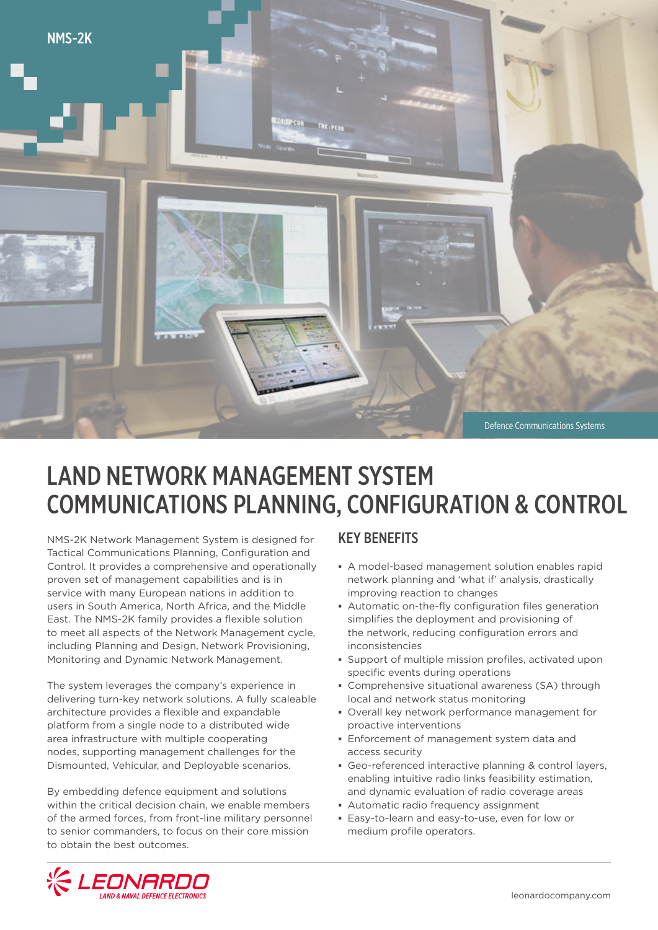

# LAND NETWORK MANAGEMENT SYSTEM COMMUNICATIONS PLANNING, CONFIGURATION & CONTROL

NMS-2K Network Management System is designed for Tactical Communications Planning, Configuration and Control. It provides a comprehensive and operationally proven set of management capabilities and is in service with many European nations in addition to users in South America, North Africa, and the Middle East. The NMS-2K family provides a flexible solution to meet all aspects of the Network Management cycle, including Planning and Design, Network Provisioning, Monitoring and Dynamic Network Management.

The system leverages the company's experience in delivering turn-key network solutions. A fully scaleable architecture provides a flexible and expandable platform from a single node to a distributed wide area infrastructure with multiple cooperating nodes, supporting management challenges for the Dismounted, Vehicular, and Deployable scenarios.

By embedding defence equipment and solutions within the critical decision chain, we enable members of the armed forces, from front-line military personnel to senior commanders, to focus on their core mission to obtain the best outcomes.

#### KEY BENEFITS

- **▪** A model-based management solution enables rapid network planning and 'what if' analysis, drastically improving reaction to changes
- **▪** Automatic on-the-fly configuration files generation simplifies the deployment and provisioning of the network, reducing configuration errors and inconsistencies
- **▪** Support of multiple mission profiles, activated upon specific events during operations
- **▪** Comprehensive situational awareness (SA) through local and network status monitoring
- **▪** Overall key network performance management for proactive interventions
- **▪** Enforcement of management system data and access security
- **▪** Geo-referenced interactive planning & control layers, enabling intuitive radio links feasibility estimation, and dynamic evaluation of radio coverage areas
- **EXECUTE: Automatic radio frequency assignment**
- **▪** Easy-to-learn and easy-to-use, even for low or medium profile operators.

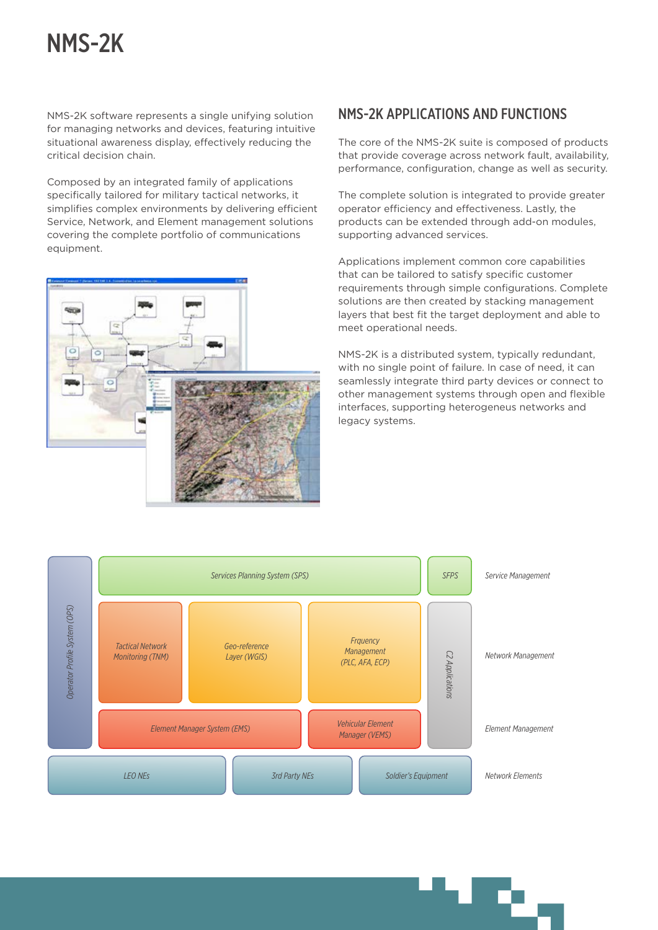# NMS-2K

NMS-2K software represents a single unifying solution for managing networks and devices, featuring intuitive situational awareness display, effectively reducing the critical decision chain.

Composed by an integrated family of applications specifically tailored for military tactical networks, it simplifies complex environments by delivering efficient Service, Network, and Element management solutions covering the complete portfolio of communications equipment.



## NMS-2K APPLICATIONS AND FUNCTIONS

The core of the NMS-2K suite is composed of products that provide coverage across network fault, availability, performance, configuration, change as well as security.

The complete solution is integrated to provide greater operator efficiency and effectiveness. Lastly, the products can be extended through add-on modules, supporting advanced services.

Applications implement common core capabilities that can be tailored to satisfy specific customer requirements through simple configurations. Complete solutions are then created by stacking management layers that best fit the target deployment and able to meet operational needs.

NMS-2K is a distributed system, typically redundant, with no single point of failure. In case of need, it can seamlessly integrate third party devices or connect to other management systems through open and flexible interfaces, supporting heterogeneus networks and legacy systems.

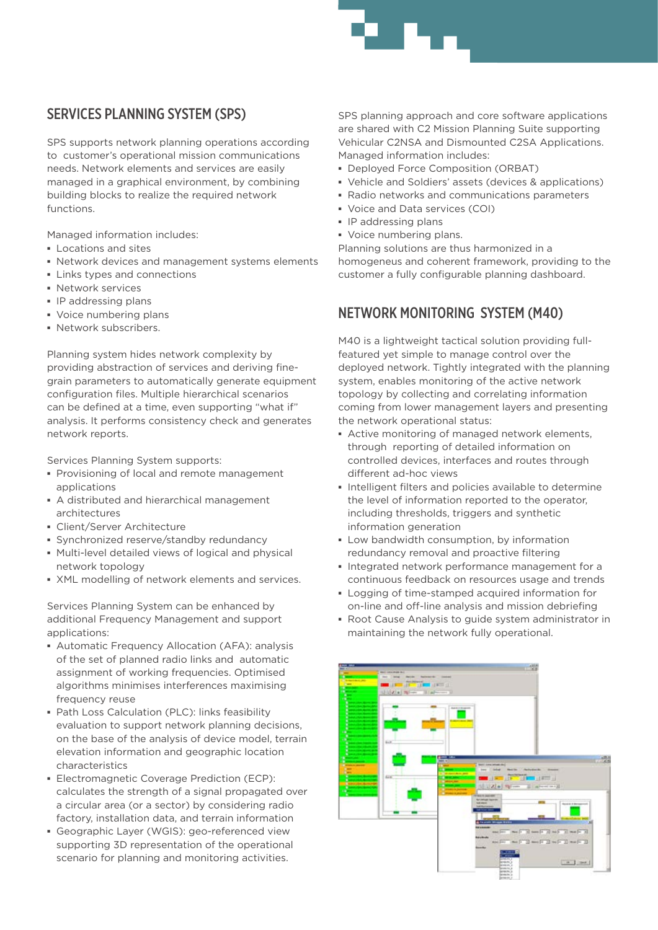## SERVICES PLANNING SYSTEM (SPS)

SPS supports network planning operations according to customer's operational mission communications needs. Network elements and services are easily managed in a graphical environment, by combining building blocks to realize the required network functions.

Managed information includes:

- **▪** Locations and sites
- **▪** Network devices and management systems elements
- **▪** Links types and connections
- **▪** Network services
- **▪** IP addressing plans
- **▪** Voice numbering plans
- **▪** Network subscribers.

Planning system hides network complexity by providing abstraction of services and deriving finegrain parameters to automatically generate equipment configuration files. Multiple hierarchical scenarios can be defined at a time, even supporting "what if" analysis. It performs consistency check and generates network reports.

Services Planning System supports:

- **▪** Provisioning of local and remote management applications
- **▪** A distributed and hierarchical management architectures
- **▪** Client/Server Architecture
- **▪** Synchronized reserve/standby redundancy
- **▪** Multi-level detailed views of logical and physical network topology
- **▪** XML modelling of network elements and services.

Services Planning System can be enhanced by additional Frequency Management and support applications:

- **▪** Automatic Frequency Allocation (AFA): analysis of the set of planned radio links and automatic assignment of working frequencies. Optimised algorithms minimises interferences maximising frequency reuse
- **▪** Path Loss Calculation (PLC): links feasibility evaluation to support network planning decisions, on the base of the analysis of device model, terrain elevation information and geographic location characteristics
- **▪** Electromagnetic Coverage Prediction (ECP): calculates the strength of a signal propagated over a circular area (or a sector) by considering radio factory, installation data, and terrain information
- **▪** Geographic Layer (WGIS): geo-referenced view supporting 3D representation of the operational scenario for planning and monitoring activities.

SPS planning approach and core software applications are shared with C2 Mission Planning Suite supporting Vehicular C2NSA and Dismounted C2SA Applications. Managed information includes:

- **▪** Deployed Force Composition (ORBAT)
- **▪** Vehicle and Soldiers' assets (devices & applications)
- **▪** Radio networks and communications parameters
- **▪** Voice and Data services (COI)
- **▪** IP addressing plans
- **▪** Voice numbering plans.

Planning solutions are thus harmonized in a homogeneus and coherent framework, providing to the customer a fully configurable planning dashboard.

## NETWORK MONITORING SYSTEM (M40)

M40 is a lightweight tactical solution providing fullfeatured yet simple to manage control over the deployed network. Tightly integrated with the planning system, enables monitoring of the active network topology by collecting and correlating information coming from lower management layers and presenting the network operational status:

- **▪** Active monitoring of managed network elements, through reporting of detailed information on controlled devices, interfaces and routes through different ad-hoc views
- **▪** Intelligent filters and policies available to determine the level of information reported to the operator, including thresholds, triggers and synthetic information generation
- **▪** Low bandwidth consumption, by information redundancy removal and proactive filtering
- **▪** Integrated network performance management for a continuous feedback on resources usage and trends
- **▪** Logging of time-stamped acquired information for on-line and off-line analysis and mission debriefing
- **▪** Root Cause Analysis to guide system administrator in maintaining the network fully operational.